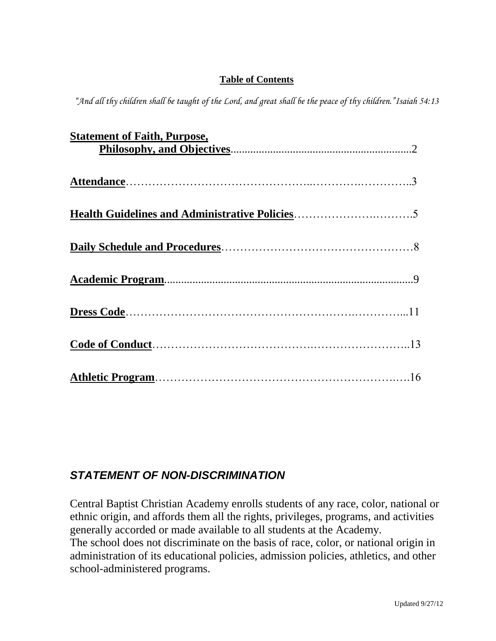## **Table of Contents**

*"And all thy children shall be taught of the Lord, and great shall be the peace of thy children."Isaiah 54:13*

| <b>Statement of Faith, Purpose,</b> |  |
|-------------------------------------|--|
|                                     |  |
|                                     |  |
|                                     |  |
|                                     |  |
|                                     |  |
|                                     |  |
|                                     |  |
|                                     |  |
|                                     |  |
|                                     |  |
|                                     |  |
|                                     |  |
|                                     |  |
|                                     |  |
|                                     |  |
|                                     |  |

# *STATEMENT OF NON-DISCRIMINATION*

Central Baptist Christian Academy enrolls students of any race, color, national or ethnic origin, and affords them all the rights, privileges, programs, and activities generally accorded or made available to all students at the Academy.

The school does not discriminate on the basis of race, color, or national origin in administration of its educational policies, admission policies, athletics, and other school-administered programs.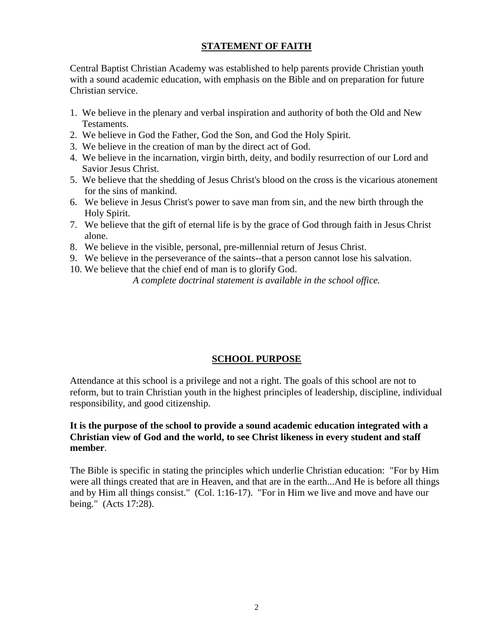## **STATEMENT OF FAITH**

Central Baptist Christian Academy was established to help parents provide Christian youth with a sound academic education, with emphasis on the Bible and on preparation for future Christian service.

- 1. We believe in the plenary and verbal inspiration and authority of both the Old and New Testaments.
- 2. We believe in God the Father, God the Son, and God the Holy Spirit.
- 3. We believe in the creation of man by the direct act of God.
- 4. We believe in the incarnation, virgin birth, deity, and bodily resurrection of our Lord and Savior Jesus Christ.
- 5. We believe that the shedding of Jesus Christ's blood on the cross is the vicarious atonement for the sins of mankind.
- 6. We believe in Jesus Christ's power to save man from sin, and the new birth through the Holy Spirit.
- 7. We believe that the gift of eternal life is by the grace of God through faith in Jesus Christ alone.
- 8. We believe in the visible, personal, pre-millennial return of Jesus Christ.
- 9. We believe in the perseverance of the saints--that a person cannot lose his salvation.
- 10. We believe that the chief end of man is to glorify God.

*A complete doctrinal statement is available in the school office.*

### **SCHOOL PURPOSE**

Attendance at this school is a privilege and not a right. The goals of this school are not to reform, but to train Christian youth in the highest principles of leadership, discipline, individual responsibility, and good citizenship.

### **It is the purpose of the school to provide a sound academic education integrated with a Christian view of God and the world, to see Christ likeness in every student and staff member**.

The Bible is specific in stating the principles which underlie Christian education: "For by Him were all things created that are in Heaven, and that are in the earth...And He is before all things and by Him all things consist." (Col. 1:16-17). "For in Him we live and move and have our being." (Acts 17:28).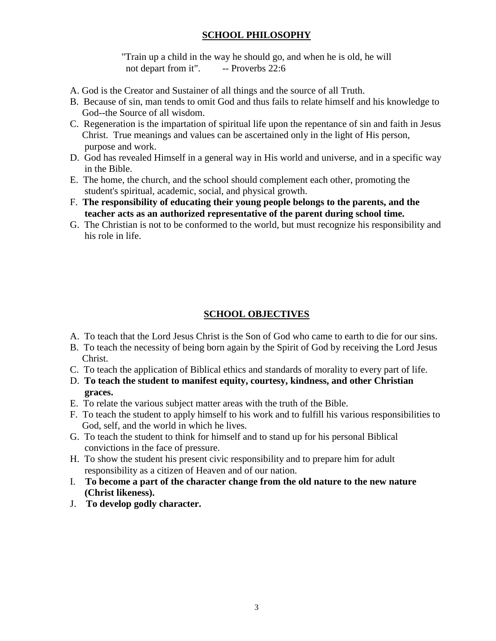## **SCHOOL PHILOSOPHY**

"Train up a child in the way he should go, and when he is old, he will not depart from it". -- Proverbs 22:6

- A. God is the Creator and Sustainer of all things and the source of all Truth.
- B. Because of sin, man tends to omit God and thus fails to relate himself and his knowledge to God--the Source of all wisdom.
- C. Regeneration is the impartation of spiritual life upon the repentance of sin and faith in Jesus Christ. True meanings and values can be ascertained only in the light of His person, purpose and work.
- D. God has revealed Himself in a general way in His world and universe, and in a specific way in the Bible.
- E. The home, the church, and the school should complement each other, promoting the student's spiritual, academic, social, and physical growth.
- F. **The responsibility of educating their young people belongs to the parents, and the teacher acts as an authorized representative of the parent during school time.**
- G. The Christian is not to be conformed to the world, but must recognize his responsibility and his role in life.

## **SCHOOL OBJECTIVES**

- A. To teach that the Lord Jesus Christ is the Son of God who came to earth to die for our sins.
- B. To teach the necessity of being born again by the Spirit of God by receiving the Lord Jesus Christ.
- C. To teach the application of Biblical ethics and standards of morality to every part of life.
- D. **To teach the student to manifest equity, courtesy, kindness, and other Christian graces.**
- E. To relate the various subject matter areas with the truth of the Bible.
- F. To teach the student to apply himself to his work and to fulfill his various responsibilities to God, self, and the world in which he lives.
- G. To teach the student to think for himself and to stand up for his personal Biblical convictions in the face of pressure.
- H. To show the student his present civic responsibility and to prepare him for adult responsibility as a citizen of Heaven and of our nation.
- I. **To become a part of the character change from the old nature to the new nature (Christ likeness).**
- J. **To develop godly character.**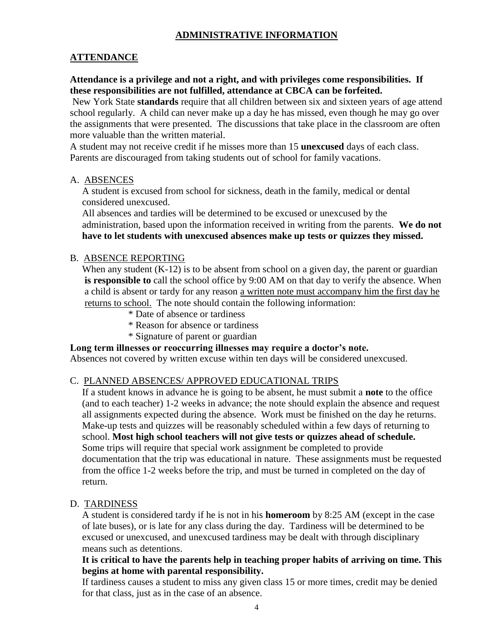## **ADMINISTRATIVE INFORMATION**

## **ATTENDANCE**

### **Attendance is a privilege and not a right, and with privileges come responsibilities. If these responsibilities are not fulfilled, attendance at CBCA can be forfeited.**

New York State **standards** require that all children between six and sixteen years of age attend school regularly. A child can never make up a day he has missed, even though he may go over the assignments that were presented. The discussions that take place in the classroom are often more valuable than the written material.

A student may not receive credit if he misses more than 15 **unexcused** days of each class. Parents are discouraged from taking students out of school for family vacations.

### A. ABSENCES

 A student is excused from school for sickness, death in the family, medical or dental considered unexcused.

 All absences and tardies will be determined to be excused or unexcused by the administration, based upon the information received in writing from the parents. **We do not have to let students with unexcused absences make up tests or quizzes they missed.**

### B. ABSENCE REPORTING

When any student  $(K-12)$  is to be absent from school on a given day, the parent or guardian **is responsible to** call the school office by 9:00 AM on that day to verify the absence. When a child is absent or tardy for any reason a written note must accompany him the first day he returns to school. The note should contain the following information:

- \* Date of absence or tardiness
- \* Reason for absence or tardiness
- \* Signature of parent or guardian

#### **Long term illnesses or reoccurring illnesses may require a doctor's note.**

Absences not covered by written excuse within ten days will be considered unexcused.

#### C. PLANNED ABSENCES/ APPROVED EDUCATIONAL TRIPS

If a student knows in advance he is going to be absent, he must submit a **note** to the office (and to each teacher) 1-2 weeks in advance; the note should explain the absence and request all assignments expected during the absence. Work must be finished on the day he returns. Make-up tests and quizzes will be reasonably scheduled within a few days of returning to school. **Most high school teachers will not give tests or quizzes ahead of schedule.**  Some trips will require that special work assignment be completed to provide documentation that the trip was educational in nature. These assignments must be requested from the office 1-2 weeks before the trip, and must be turned in completed on the day of return.

#### D. TARDINESS

A student is considered tardy if he is not in his **homeroom** by 8:25 AM (except in the case of late buses), or is late for any class during the day. Tardiness will be determined to be excused or unexcused, and unexcused tardiness may be dealt with through disciplinary means such as detentions.

### **It is critical to have the parents help in teaching proper habits of arriving on time. This begins at home with parental responsibility.**

If tardiness causes a student to miss any given class 15 or more times, credit may be denied for that class, just as in the case of an absence.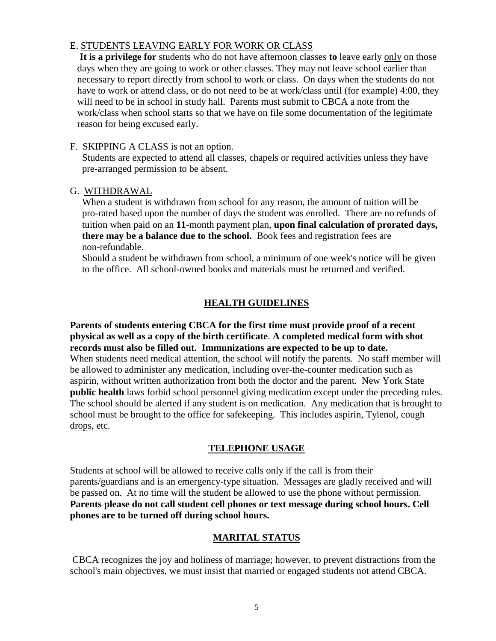### E. STUDENTS LEAVING EARLY FOR WORK OR CLASS

**It is a privilege for** students who do not have afternoon classes **to** leave early only on those days when they are going to work or other classes. They may not leave school earlier than necessary to report directly from school to work or class. On days when the students do not have to work or attend class, or do not need to be at work/class until (for example) 4:00, they will need to be in school in study hall. Parents must submit to CBCA a note from the work/class when school starts so that we have on file some documentation of the legitimate reason for being excused early.

### F. SKIPPING A CLASS is not an option.

Students are expected to attend all classes, chapels or required activities unless they have pre-arranged permission to be absent.

### G. WITHDRAWAL

When a student is withdrawn from school for any reason, the amount of tuition will be pro-rated based upon the number of days the student was enrolled. There are no refunds of tuition when paid on an **11**-month payment plan, **upon final calculation of prorated days, there may be a balance due to the school.** Book fees and registration fees are non-refundable.

Should a student be withdrawn from school, a minimum of one week's notice will be given to the office. All school-owned books and materials must be returned and verified.

## **HEALTH GUIDELINES**

**Parents of students entering CBCA for the first time must provide proof of a recent physical as well as a copy of the birth certificate**. **A completed medical form with shot records must also be filled out. Immunizations are expected to be up to date.**  When students need medical attention, the school will notify the parents. No staff member will be allowed to administer any medication, including over-the-counter medication such as aspirin, without written authorization from both the doctor and the parent. New York State **public health** laws forbid school personnel giving medication except under the preceding rules. The school should be alerted if any student is on medication. Any medication that is brought to school must be brought to the office for safekeeping. This includes aspirin, Tylenol, cough drops, etc.

### **TELEPHONE USAGE**

Students at school will be allowed to receive calls only if the call is from their parents/guardians and is an emergency-type situation. Messages are gladly received and will be passed on. At no time will the student be allowed to use the phone without permission. **Parents please do not call student cell phones or text message during school hours. Cell phones are to be turned off during school hours.** 

### **MARITAL STATUS**

CBCA recognizes the joy and holiness of marriage; however, to prevent distractions from the school's main objectives, we must insist that married or engaged students not attend CBCA.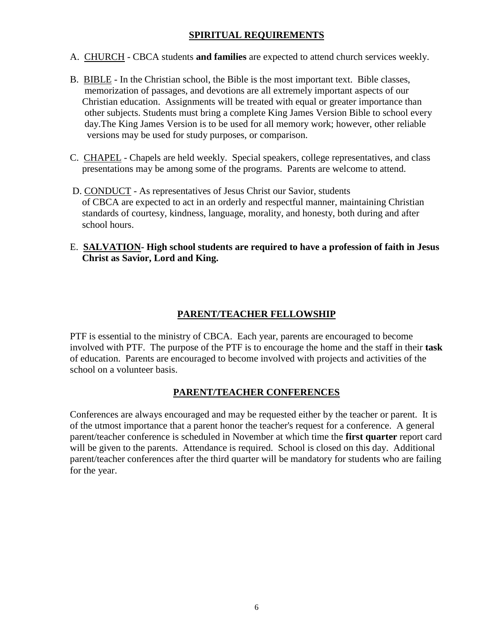## **SPIRITUAL REQUIREMENTS**

- A. CHURCH CBCA students **and families** are expected to attend church services weekly.
- B. BIBLE In the Christian school, the Bible is the most important text. Bible classes, memorization of passages, and devotions are all extremely important aspects of our Christian education. Assignments will be treated with equal or greater importance than other subjects. Students must bring a complete King James Version Bible to school every day.The King James Version is to be used for all memory work; however, other reliable versions may be used for study purposes, or comparison.
- C. CHAPEL Chapels are held weekly. Special speakers, college representatives, and class presentations may be among some of the programs. Parents are welcome to attend.
- D. CONDUCT As representatives of Jesus Christ our Savior, students of CBCA are expected to act in an orderly and respectful manner, maintaining Christian standards of courtesy, kindness, language, morality, and honesty, both during and after school hours.
- E. **SALVATION- High school students are required to have a profession of faith in Jesus Christ as Savior, Lord and King.**

## **PARENT/TEACHER FELLOWSHIP**

PTF is essential to the ministry of CBCA. Each year, parents are encouraged to become involved with PTF. The purpose of the PTF is to encourage the home and the staff in their **task**  of education. Parents are encouraged to become involved with projects and activities of the school on a volunteer basis.

### **PARENT/TEACHER CONFERENCES**

Conferences are always encouraged and may be requested either by the teacher or parent. It is of the utmost importance that a parent honor the teacher's request for a conference. A general parent/teacher conference is scheduled in November at which time the **first quarter** report card will be given to the parents. Attendance is required. School is closed on this day. Additional parent/teacher conferences after the third quarter will be mandatory for students who are failing for the year.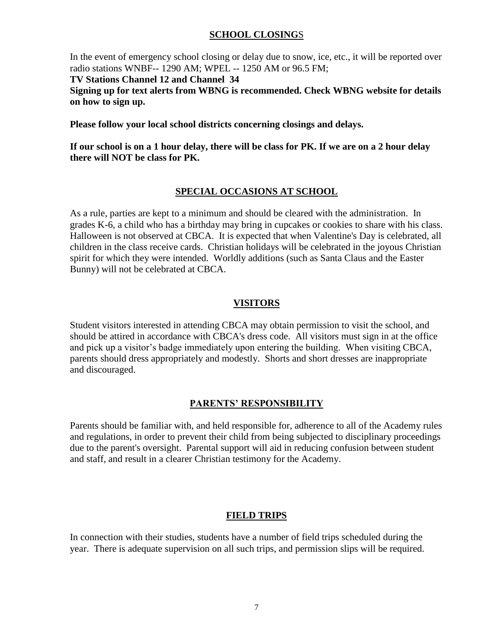### **SCHOOL CLOSING**S

In the event of emergency school closing or delay due to snow, ice, etc., it will be reported over radio stations WNBF-- 1290 AM; WPEL -- 1250 AM or 96.5 FM;

#### **TV Stations Channel 12 and Channel 34**

**Signing up for text alerts from WBNG is recommended. Check WBNG website for details on how to sign up.**

**Please follow your local school districts concerning closings and delays.** 

**If our school is on a 1 hour delay, there will be class for PK. If we are on a 2 hour delay there will NOT be class for PK.**

### **SPECIAL OCCASIONS AT SCHOOL**

As a rule, parties are kept to a minimum and should be cleared with the administration. In grades K-6, a child who has a birthday may bring in cupcakes or cookies to share with his class. Halloween is not observed at CBCA. It is expected that when Valentine's Day is celebrated, all children in the class receive cards. Christian holidays will be celebrated in the joyous Christian spirit for which they were intended. Worldly additions (such as Santa Claus and the Easter Bunny) will not be celebrated at CBCA.

### **VISITORS**

Student visitors interested in attending CBCA may obtain permission to visit the school, and should be attired in accordance with CBCA's dress code. All visitors must sign in at the office and pick up a visitor's badge immediately upon entering the building. When visiting CBCA, parents should dress appropriately and modestly. Shorts and short dresses are inappropriate and discouraged.

### **PARENTS' RESPONSIBILITY**

Parents should be familiar with, and held responsible for, adherence to all of the Academy rules and regulations, in order to prevent their child from being subjected to disciplinary proceedings due to the parent's oversight. Parental support will aid in reducing confusion between student and staff, and result in a clearer Christian testimony for the Academy.

### **FIELD TRIPS**

In connection with their studies, students have a number of field trips scheduled during the year. There is adequate supervision on all such trips, and permission slips will be required.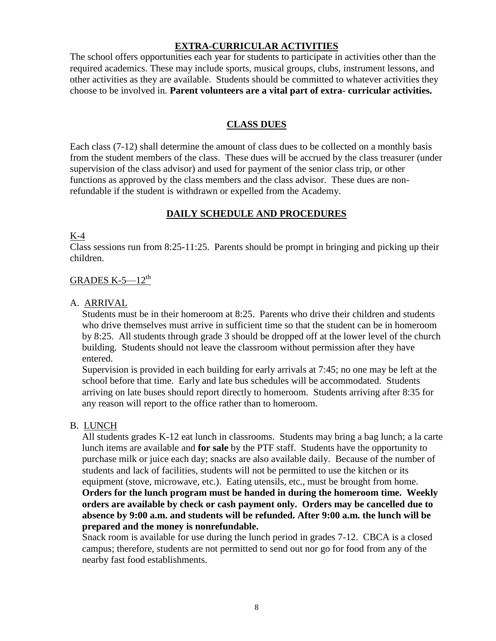### **EXTRA-CURRICULAR ACTIVITIES**

The school offers opportunities each year for students to participate in activities other than the required academics. These may include sports, musical groups, clubs, instrument lessons, and other activities as they are available. Students should be committed to whatever activities they choose to be involved in. **Parent volunteers are a vital part of extra- curricular activities.**

### **CLASS DUES**

Each class (7-12) shall determine the amount of class dues to be collected on a monthly basis from the student members of the class. These dues will be accrued by the class treasurer (under supervision of the class advisor) and used for payment of the senior class trip, or other functions as approved by the class members and the class advisor. These dues are nonrefundable if the student is withdrawn or expelled from the Academy.

### **DAILY SCHEDULE AND PROCEDURES**

#### K-4

Class sessions run from 8:25-11:25. Parents should be prompt in bringing and picking up their children.

### GRADES  $K-5-12^{th}$

#### A. ARRIVAL

Students must be in their homeroom at 8:25. Parents who drive their children and students who drive themselves must arrive in sufficient time so that the student can be in homeroom by 8:25. All students through grade 3 should be dropped off at the lower level of the church building. Students should not leave the classroom without permission after they have entered.

Supervision is provided in each building for early arrivals at 7:45; no one may be left at the school before that time. Early and late bus schedules will be accommodated. Students arriving on late buses should report directly to homeroom. Students arriving after 8:35 for any reason will report to the office rather than to homeroom.

#### B. LUNCH

All students grades K-12 eat lunch in classrooms. Students may bring a bag lunch; a la carte lunch items are available and **for sale** by the PTF staff. Students have the opportunity to purchase milk or juice each day; snacks are also available daily. Because of the number of students and lack of facilities, students will not be permitted to use the kitchen or its equipment (stove, microwave, etc.). Eating utensils, etc., must be brought from home. **Orders for the lunch program must be handed in during the homeroom time. Weekly orders are available by check or cash payment only. Orders may be cancelled due to absence by 9:00 a.m. and students will be refunded. After 9:00 a.m. the lunch will be prepared and the money is nonrefundable.** 

Snack room is available for use during the lunch period in grades 7-12. CBCA is a closed campus; therefore, students are not permitted to send out nor go for food from any of the nearby fast food establishments.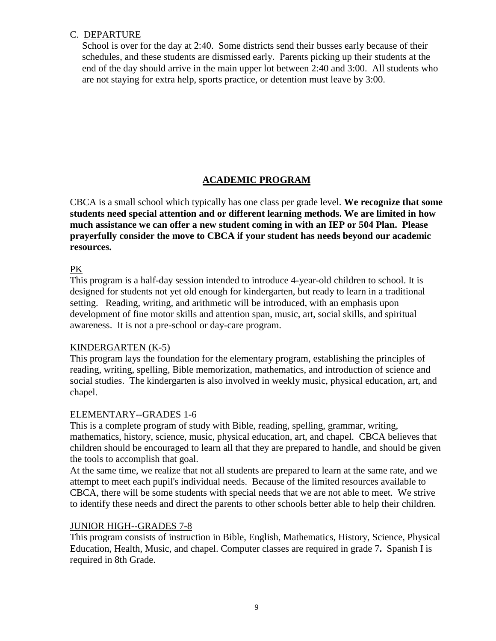### C. DEPARTURE

School is over for the day at 2:40. Some districts send their busses early because of their schedules, and these students are dismissed early. Parents picking up their students at the end of the day should arrive in the main upper lot between 2:40 and 3:00. All students who are not staying for extra help, sports practice, or detention must leave by 3:00.

## **ACADEMIC PROGRAM**

CBCA is a small school which typically has one class per grade level. **We recognize that some students need special attention and or different learning methods. We are limited in how much assistance we can offer a new student coming in with an IEP or 504 Plan. Please prayerfully consider the move to CBCA if your student has needs beyond our academic resources.**

### PK

This program is a half-day session intended to introduce 4-year-old children to school. It is designed for students not yet old enough for kindergarten, but ready to learn in a traditional setting. Reading, writing, and arithmetic will be introduced, with an emphasis upon development of fine motor skills and attention span, music, art, social skills, and spiritual awareness. It is not a pre-school or day-care program.

### KINDERGARTEN (K-5)

This program lays the foundation for the elementary program, establishing the principles of reading, writing, spelling, Bible memorization, mathematics, and introduction of science and social studies. The kindergarten is also involved in weekly music, physical education, art, and chapel.

### ELEMENTARY--GRADES 1-6

This is a complete program of study with Bible, reading, spelling, grammar, writing, mathematics, history, science, music, physical education, art, and chapel. CBCA believes that children should be encouraged to learn all that they are prepared to handle, and should be given the tools to accomplish that goal.

At the same time, we realize that not all students are prepared to learn at the same rate, and we attempt to meet each pupil's individual needs. Because of the limited resources available to CBCA, there will be some students with special needs that we are not able to meet. We strive to identify these needs and direct the parents to other schools better able to help their children.

### JUNIOR HIGH--GRADES 7-8

This program consists of instruction in Bible, English, Mathematics, History, Science, Physical Education, Health, Music, and chapel. Computer classes are required in grade 7**.** Spanish I is required in 8th Grade.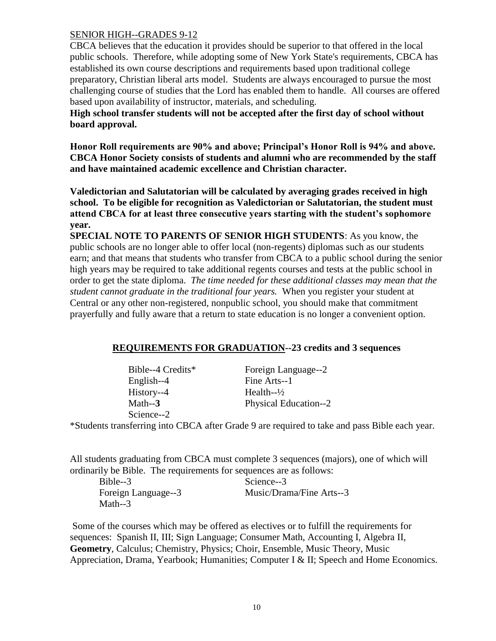### SENIOR HIGH--GRADES 9-12

CBCA believes that the education it provides should be superior to that offered in the local public schools. Therefore, while adopting some of New York State's requirements, CBCA has established its own course descriptions and requirements based upon traditional college preparatory, Christian liberal arts model. Students are always encouraged to pursue the most challenging course of studies that the Lord has enabled them to handle. All courses are offered based upon availability of instructor, materials, and scheduling.

**High school transfer students will not be accepted after the first day of school without board approval.** 

**Honor Roll requirements are 90% and above; Principal's Honor Roll is 94% and above. CBCA Honor Society consists of students and alumni who are recommended by the staff and have maintained academic excellence and Christian character.** 

**Valedictorian and Salutatorian will be calculated by averaging grades received in high school. To be eligible for recognition as Valedictorian or Salutatorian, the student must attend CBCA for at least three consecutive years starting with the student's sophomore year.** 

**SPECIAL NOTE TO PARENTS OF SENIOR HIGH STUDENTS**: As you know, the public schools are no longer able to offer local (non-regents) diplomas such as our students earn; and that means that students who transfer from CBCA to a public school during the senior high years may be required to take additional regents courses and tests at the public school in order to get the state diploma. *The time needed for these additional classes may mean that the student cannot graduate in the traditional four years.* When you register your student at Central or any other non-registered, nonpublic school, you should make that commitment prayerfully and fully aware that a return to state education is no longer a convenient option.

### **REQUIREMENTS FOR GRADUATION--23 credits and 3 sequences**

| Bible--4 Credits* |
|-------------------|
| English--4        |
| History--4        |
| Math $-3$         |
| Science--2        |

Foreign Language--2 Fine Arts--1 Health- $-\frac{1}{2}$ Physical Education--2

\*Students transferring into CBCA after Grade 9 are required to take and pass Bible each year.

All students graduating from CBCA must complete 3 sequences (majors), one of which will ordinarily be Bible. The requirements for sequences are as follows:

Bible--3 Science--3 Math--3

Foreign Language--3 Music/Drama/Fine Arts--3

Some of the courses which may be offered as electives or to fulfill the requirements for sequences: Spanish II, III; Sign Language; Consumer Math, Accounting I, Algebra II, **Geometry**, Calculus; Chemistry, Physics; Choir, Ensemble, Music Theory, Music Appreciation, Drama, Yearbook; Humanities; Computer I & II; Speech and Home Economics.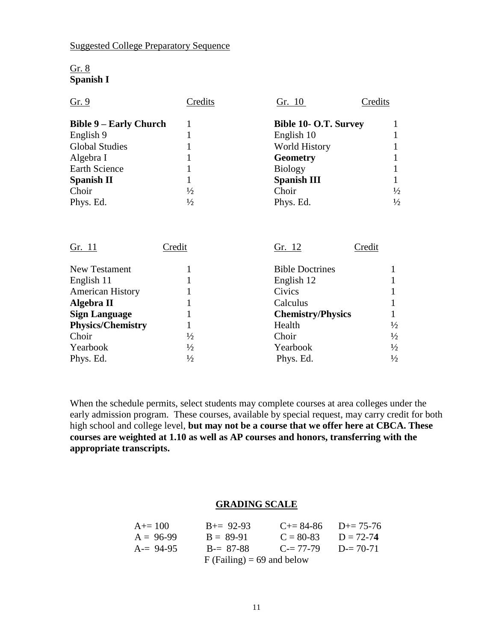## Suggested College Preparatory Sequence

| Gir. X           |  |
|------------------|--|
| <b>Spanish I</b> |  |

| Gr. 9                         | Credits       | Credits<br>Gr. 10            |               |
|-------------------------------|---------------|------------------------------|---------------|
| <b>Bible 9 – Early Church</b> |               | <b>Bible 10- O.T. Survey</b> |               |
| English 9                     |               | English 10                   |               |
| <b>Global Studies</b>         |               | <b>World History</b>         |               |
| Algebra I                     |               | <b>Geometry</b>              |               |
| <b>Earth Science</b>          |               | <b>Biology</b>               |               |
| <b>Spanish II</b>             |               | <b>Spanish III</b>           |               |
| Choir                         | $\frac{1}{2}$ | Choir                        | $\frac{1}{2}$ |
| Phys. Ed.                     | $\frac{1}{2}$ | Phys. Ed.                    | $\frac{1}{2}$ |

| Gr. 11                   | Credit        | Gr. 12<br>Credit         |               |
|--------------------------|---------------|--------------------------|---------------|
| New Testament            |               | <b>Bible Doctrines</b>   |               |
| English 11               |               | English 12               |               |
| <b>American History</b>  |               | Civics                   |               |
| Algebra II               |               | Calculus                 |               |
| <b>Sign Language</b>     |               | <b>Chemistry/Physics</b> |               |
| <b>Physics/Chemistry</b> |               | Health                   | $\frac{1}{2}$ |
| Choir                    | $\frac{1}{2}$ | Choir                    | $\frac{1}{2}$ |
| Yearbook                 | $\frac{1}{2}$ | Yearbook                 | $\frac{1}{2}$ |
| Phys. Ed.                | $\frac{1}{2}$ | Phys. Ed.                | $\frac{1}{2}$ |

When the schedule permits, select students may complete courses at area colleges under the early admission program. These courses, available by special request, may carry credit for both high school and college level, **but may not be a course that we offer here at CBCA. These courses are weighted at 1.10 as well as AP courses and honors, transferring with the appropriate transcripts.** 

## **GRADING SCALE**

| $A+=100$                     | $B+= 92-93$ | $C_{\pm} = 84 - 86$ | $D_{\pm} = 75 - 76$ |  |
|------------------------------|-------------|---------------------|---------------------|--|
| $A = 96-99$                  | $B = 89-91$ | $C = 80-83$         | $D = 72 - 74$       |  |
| $A = 94-95$                  | $B = 87-88$ | $C = 77-79$         | $D = 70-71$         |  |
| $F$ (Failing) = 69 and below |             |                     |                     |  |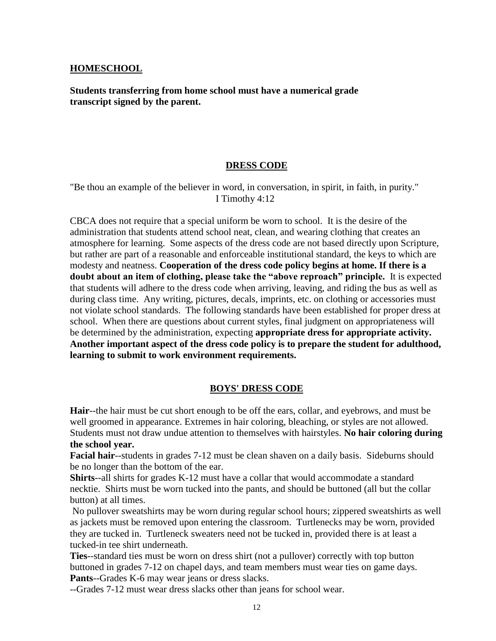#### **HOMESCHOOL**

**Students transferring from home school must have a numerical grade transcript signed by the parent.**

#### **DRESS CODE**

"Be thou an example of the believer in word, in conversation, in spirit, in faith, in purity." I Timothy 4:12

CBCA does not require that a special uniform be worn to school. It is the desire of the administration that students attend school neat, clean, and wearing clothing that creates an atmosphere for learning. Some aspects of the dress code are not based directly upon Scripture, but rather are part of a reasonable and enforceable institutional standard, the keys to which are modesty and neatness. **Cooperation of the dress code policy begins at home. If there is a doubt about an item of clothing, please take the "above reproach" principle.** It is expected that students will adhere to the dress code when arriving, leaving, and riding the bus as well as during class time. Any writing, pictures, decals, imprints, etc. on clothing or accessories must not violate school standards. The following standards have been established for proper dress at school. When there are questions about current styles, final judgment on appropriateness will be determined by the administration, expecting **appropriate dress for appropriate activity. Another important aspect of the dress code policy is to prepare the student for adulthood, learning to submit to work environment requirements.** 

#### **BOYS' DRESS CODE**

**Hair**--the hair must be cut short enough to be off the ears, collar, and eyebrows, and must be well groomed in appearance. Extremes in hair coloring, bleaching, or styles are not allowed. Students must not draw undue attention to themselves with hairstyles. **No hair coloring during the school year.**

**Facial hair**--students in grades 7-12 must be clean shaven on a daily basis. Sideburns should be no longer than the bottom of the ear.

**Shirts**--all shirts for grades K-12 must have a collar that would accommodate a standard necktie. Shirts must be worn tucked into the pants, and should be buttoned (all but the collar button) at all times.

No pullover sweatshirts may be worn during regular school hours; zippered sweatshirts as well as jackets must be removed upon entering the classroom. Turtlenecks may be worn, provided they are tucked in. Turtleneck sweaters need not be tucked in, provided there is at least a tucked-in tee shirt underneath.

**Ties**--standard ties must be worn on dress shirt (not a pullover) correctly with top button buttoned in grades 7-12 on chapel days, and team members must wear ties on game days. **Pants**--Grades K-6 may wear jeans or dress slacks.

--Grades 7-12 must wear dress slacks other than jeans for school wear.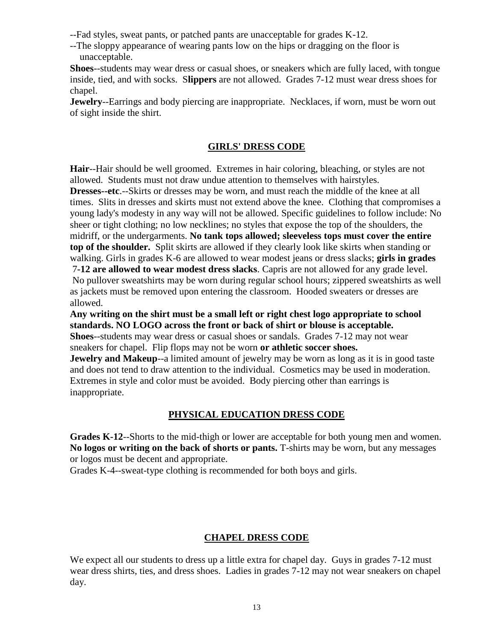--Fad styles, sweat pants, or patched pants are unacceptable for grades K-12.

--The sloppy appearance of wearing pants low on the hips or dragging on the floor is unacceptable.

**Shoes**--students may wear dress or casual shoes, or sneakers which are fully laced, with tongue inside, tied, and with socks. S**lippers** are not allowed. Grades 7-12 must wear dress shoes for chapel.

**Jewelry**--Earrings and body piercing are inappropriate. Necklaces, if worn, must be worn out of sight inside the shirt.

### **GIRLS' DRESS CODE**

**Hair**--Hair should be well groomed. Extremes in hair coloring, bleaching, or styles are not allowed. Students must not draw undue attention to themselves with hairstyles.

**Dresses--etc**.--Skirts or dresses may be worn, and must reach the middle of the knee at all times. Slits in dresses and skirts must not extend above the knee. Clothing that compromises a young lady's modesty in any way will not be allowed. Specific guidelines to follow include: No sheer or tight clothing; no low necklines; no styles that expose the top of the shoulders, the midriff, or the undergarments. **No tank tops allowed; sleeveless tops must cover the entire top of the shoulder.** Split skirts are allowed if they clearly look like skirts when standing or walking. Girls in grades K-6 are allowed to wear modest jeans or dress slacks; **girls in grades** 7**-12 are allowed to wear modest dress slacks**. Capris are not allowed for any grade level. No pullover sweatshirts may be worn during regular school hours; zippered sweatshirts as well

as jackets must be removed upon entering the classroom. Hooded sweaters or dresses are allowed.

**Any writing on the shirt must be a small left or right chest logo appropriate to school standards. NO LOGO across the front or back of shirt or blouse is acceptable.**

**Shoes**--students may wear dress or casual shoes or sandals. Grades 7-12 may not wear sneakers for chapel. Flip flops may not be worn **or athletic soccer shoes.** 

**Jewelry and Makeup**--a limited amount of jewelry may be worn as long as it is in good taste and does not tend to draw attention to the individual. Cosmetics may be used in moderation. Extremes in style and color must be avoided. Body piercing other than earrings is inappropriate.

### **PHYSICAL EDUCATION DRESS CODE**

**Grades K-12**--Shorts to the mid-thigh or lower are acceptable for both young men and women. **No logos or writing on the back of shorts or pants.** T-shirts may be worn, but any messages or logos must be decent and appropriate.

Grades K-4--sweat-type clothing is recommended for both boys and girls.

### **CHAPEL DRESS CODE**

We expect all our students to dress up a little extra for chapel day. Guys in grades 7-12 must wear dress shirts, ties, and dress shoes. Ladies in grades 7-12 may not wear sneakers on chapel day.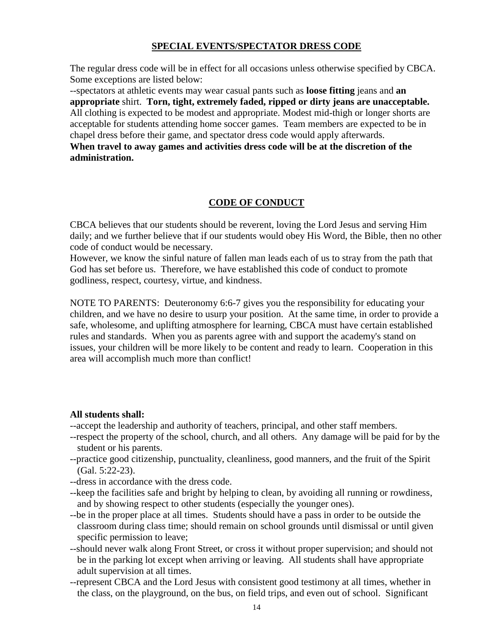### **SPECIAL EVENTS/SPECTATOR DRESS CODE**

The regular dress code will be in effect for all occasions unless otherwise specified by CBCA. Some exceptions are listed below:

--spectators at athletic events may wear casual pants such as **loose fitting** jeans and **an appropriate** shirt. **Torn, tight, extremely faded, ripped or dirty jeans are unacceptable.**  All clothing is expected to be modest and appropriate. Modest mid-thigh or longer shorts are acceptable for students attending home soccer games. Team members are expected to be in chapel dress before their game, and spectator dress code would apply afterwards.

**When travel to away games and activities dress code will be at the discretion of the administration.** 

## **CODE OF CONDUCT**

CBCA believes that our students should be reverent, loving the Lord Jesus and serving Him daily; and we further believe that if our students would obey His Word, the Bible, then no other code of conduct would be necessary.

However, we know the sinful nature of fallen man leads each of us to stray from the path that God has set before us. Therefore, we have established this code of conduct to promote godliness, respect, courtesy, virtue, and kindness.

NOTE TO PARENTS: Deuteronomy 6:6-7 gives you the responsibility for educating your children, and we have no desire to usurp your position. At the same time, in order to provide a safe, wholesome, and uplifting atmosphere for learning, CBCA must have certain established rules and standards. When you as parents agree with and support the academy's stand on issues, your children will be more likely to be content and ready to learn. Cooperation in this area will accomplish much more than conflict!

#### **All students shall:**

- --accept the leadership and authority of teachers, principal, and other staff members.
- --respect the property of the school, church, and all others. Any damage will be paid for by the student or his parents.
- --practice good citizenship, punctuality, cleanliness, good manners, and the fruit of the Spirit (Gal. 5:22-23).
- --dress in accordance with the dress code.
- --keep the facilities safe and bright by helping to clean, by avoiding all running or rowdiness, and by showing respect to other students (especially the younger ones).
- --be in the proper place at all times. Students should have a pass in order to be outside the classroom during class time; should remain on school grounds until dismissal or until given specific permission to leave;
- --should never walk along Front Street, or cross it without proper supervision; and should not be in the parking lot except when arriving or leaving. All students shall have appropriate adult supervision at all times.
- --represent CBCA and the Lord Jesus with consistent good testimony at all times, whether in the class, on the playground, on the bus, on field trips, and even out of school. Significant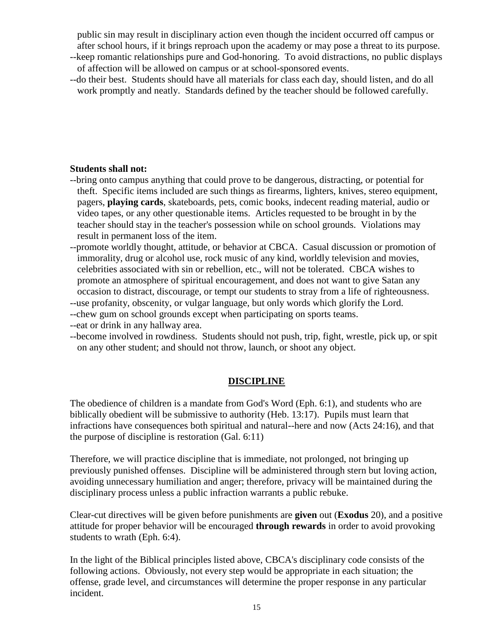public sin may result in disciplinary action even though the incident occurred off campus or after school hours, if it brings reproach upon the academy or may pose a threat to its purpose.

- --keep romantic relationships pure and God-honoring. To avoid distractions, no public displays of affection will be allowed on campus or at school-sponsored events.
- --do their best. Students should have all materials for class each day, should listen, and do all work promptly and neatly. Standards defined by the teacher should be followed carefully.

### **Students shall not:**

- --bring onto campus anything that could prove to be dangerous, distracting, or potential for theft. Specific items included are such things as firearms, lighters, knives, stereo equipment, pagers, **playing cards**, skateboards, pets, comic books, indecent reading material, audio or video tapes, or any other questionable items. Articles requested to be brought in by the teacher should stay in the teacher's possession while on school grounds. Violations may result in permanent loss of the item.
- --promote worldly thought, attitude, or behavior at CBCA. Casual discussion or promotion of immorality, drug or alcohol use, rock music of any kind, worldly television and movies, celebrities associated with sin or rebellion, etc., will not be tolerated. CBCA wishes to promote an atmosphere of spiritual encouragement, and does not want to give Satan any occasion to distract, discourage, or tempt our students to stray from a life of righteousness.
- --use profanity, obscenity, or vulgar language, but only words which glorify the Lord.
- --chew gum on school grounds except when participating on sports teams.
- --eat or drink in any hallway area.
- --become involved in rowdiness. Students should not push, trip, fight, wrestle, pick up, or spit on any other student; and should not throw, launch, or shoot any object.

### **DISCIPLINE**

The obedience of children is a mandate from God's Word (Eph. 6:1), and students who are biblically obedient will be submissive to authority (Heb. 13:17). Pupils must learn that infractions have consequences both spiritual and natural--here and now (Acts 24:16), and that the purpose of discipline is restoration (Gal. 6:11)

Therefore, we will practice discipline that is immediate, not prolonged, not bringing up previously punished offenses. Discipline will be administered through stern but loving action, avoiding unnecessary humiliation and anger; therefore, privacy will be maintained during the disciplinary process unless a public infraction warrants a public rebuke.

Clear-cut directives will be given before punishments are **given** out (**Exodus** 20), and a positive attitude for proper behavior will be encouraged **through rewards** in order to avoid provoking students to wrath (Eph. 6:4).

In the light of the Biblical principles listed above, CBCA's disciplinary code consists of the following actions. Obviously, not every step would be appropriate in each situation; the offense, grade level, and circumstances will determine the proper response in any particular incident.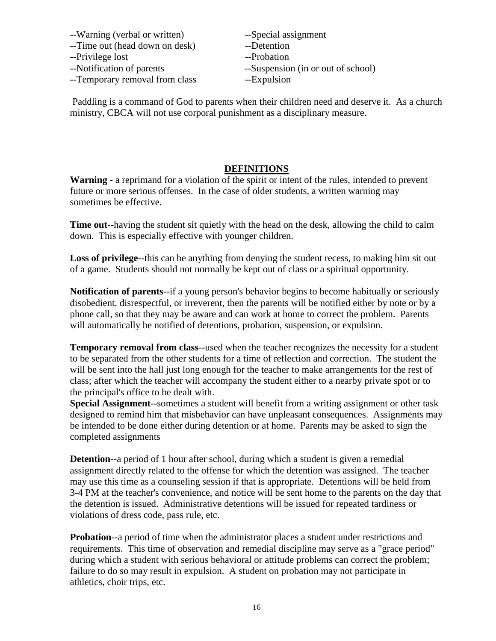- --Warning (verbal or written) --Special assignment
- --Time out (head down on desk) --Detention
- --Privilege lost --Probation
- 
- --Temporary removal from class --Expulsion
- 
- 
- 
- --Notification of parents --Suspension (in or out of school)
	-

Paddling is a command of God to parents when their children need and deserve it. As a church ministry, CBCA will not use corporal punishment as a disciplinary measure.

## **DEFINITIONS**

**Warning** - a reprimand for a violation of the spirit or intent of the rules, intended to prevent future or more serious offenses. In the case of older students, a written warning may sometimes be effective.

**Time out**--having the student sit quietly with the head on the desk, allowing the child to calm down. This is especially effective with younger children.

**Loss of privilege**--this can be anything from denying the student recess, to making him sit out of a game. Students should not normally be kept out of class or a spiritual opportunity.

**Notification of parents**--if a young person's behavior begins to become habitually or seriously disobedient, disrespectful, or irreverent, then the parents will be notified either by note or by a phone call, so that they may be aware and can work at home to correct the problem. Parents will automatically be notified of detentions, probation, suspension, or expulsion.

**Temporary removal from class**--used when the teacher recognizes the necessity for a student to be separated from the other students for a time of reflection and correction. The student the will be sent into the hall just long enough for the teacher to make arrangements for the rest of class; after which the teacher will accompany the student either to a nearby private spot or to the principal's office to be dealt with.

**Special Assignment**--sometimes a student will benefit from a writing assignment or other task designed to remind him that misbehavior can have unpleasant consequences. Assignments may be intended to be done either during detention or at home. Parents may be asked to sign the completed assignments

**Detention**--a period of 1 hour after school, during which a student is given a remedial assignment directly related to the offense for which the detention was assigned. The teacher may use this time as a counseling session if that is appropriate. Detentions will be held from 3-4 PM at the teacher's convenience, and notice will be sent home to the parents on the day that the detention is issued. Administrative detentions will be issued for repeated tardiness or violations of dress code, pass rule, etc.

**Probation**--a period of time when the administrator places a student under restrictions and requirements. This time of observation and remedial discipline may serve as a "grace period" during which a student with serious behavioral or attitude problems can correct the problem; failure to do so may result in expulsion. A student on probation may not participate in athletics, choir trips, etc.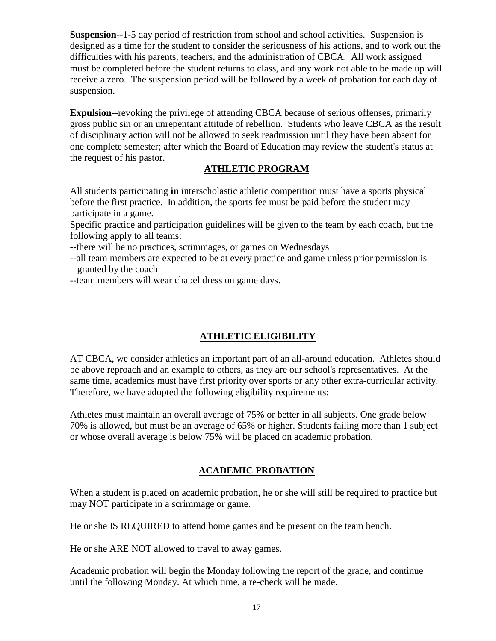**Suspension**--1-5 day period of restriction from school and school activities. Suspension is designed as a time for the student to consider the seriousness of his actions, and to work out the difficulties with his parents, teachers, and the administration of CBCA. All work assigned must be completed before the student returns to class, and any work not able to be made up will receive a zero. The suspension period will be followed by a week of probation for each day of suspension.

**Expulsion**--revoking the privilege of attending CBCA because of serious offenses, primarily gross public sin or an unrepentant attitude of rebellion. Students who leave CBCA as the result of disciplinary action will not be allowed to seek readmission until they have been absent for one complete semester; after which the Board of Education may review the student's status at the request of his pastor.

## **ATHLETIC PROGRAM**

All students participating **in** interscholastic athletic competition must have a sports physical before the first practice. In addition, the sports fee must be paid before the student may participate in a game.

Specific practice and participation guidelines will be given to the team by each coach, but the following apply to all teams:

--there will be no practices, scrimmages, or games on Wednesdays

--all team members are expected to be at every practice and game unless prior permission is granted by the coach

--team members will wear chapel dress on game days.

## **ATHLETIC ELIGIBILITY**

AT CBCA, we consider athletics an important part of an all-around education. Athletes should be above reproach and an example to others, as they are our school's representatives. At the same time, academics must have first priority over sports or any other extra-curricular activity. Therefore, we have adopted the following eligibility requirements:

Athletes must maintain an overall average of 75% or better in all subjects. One grade below 70% is allowed, but must be an average of 65% or higher. Students failing more than 1 subject or whose overall average is below 75% will be placed on academic probation.

## **ACADEMIC PROBATION**

When a student is placed on academic probation, he or she will still be required to practice but may NOT participate in a scrimmage or game.

He or she IS REQUIRED to attend home games and be present on the team bench.

He or she ARE NOT allowed to travel to away games.

Academic probation will begin the Monday following the report of the grade, and continue until the following Monday. At which time, a re-check will be made.